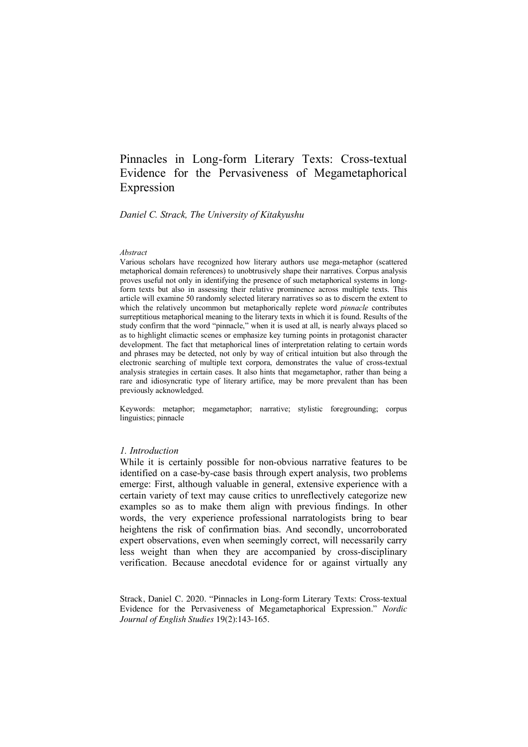# Pinnacles in Long-form Literary Texts: Cross-textual Evidence for the Pervasiveness of Megametaphorical Expression

*Daniel C. Strack, The University of Kitakyushu*

#### *Abstract*

Various scholars have recognized how literary authors use mega-metaphor (scattered metaphorical domain references) to unobtrusively shape their narratives. Corpus analysis proves useful not only in identifying the presence of such metaphorical systems in longform texts but also in assessing their relative prominence across multiple texts. This article will examine 50 randomly selected literary narratives so as to discern the extent to which the relatively uncommon but metaphorically replete word *pinnacle* contributes surreptitious metaphorical meaning to the literary texts in which it is found. Results of the study confirm that the word "pinnacle," when it is used at all, is nearly always placed so as to highlight climactic scenes or emphasize key turning points in protagonist character development. The fact that metaphorical lines of interpretation relating to certain words and phrases may be detected, not only by way of critical intuition but also through the electronic searching of multiple text corpora, demonstrates the value of cross-textual analysis strategies in certain cases. It also hints that megametaphor, rather than being a rare and idiosyncratic type of literary artifice, may be more prevalent than has been previously acknowledged.

Keywords: metaphor; megametaphor; narrative; stylistic foregrounding; corpus linguistics; pinnacle

#### *1. Introduction*

While it is certainly possible for non-obvious narrative features to be identified on a case-by-case basis through expert analysis, two problems emerge: First, although valuable in general, extensive experience with a certain variety of text may cause critics to unreflectively categorize new examples so as to make them align with previous findings. In other words, the very experience professional narratologists bring to bear heightens the risk of confirmation bias. And secondly, uncorroborated expert observations, even when seemingly correct, will necessarily carry less weight than when they are accompanied by cross-disciplinary verification. Because anecdotal evidence for or against virtually any

Strack, Daniel C. 2020. "Pinnacles in Long-form Literary Texts: Cross-textual Evidence for the Pervasiveness of Megametaphorical Expression." *Nordic Journal of English Studies* 19(2):143-165.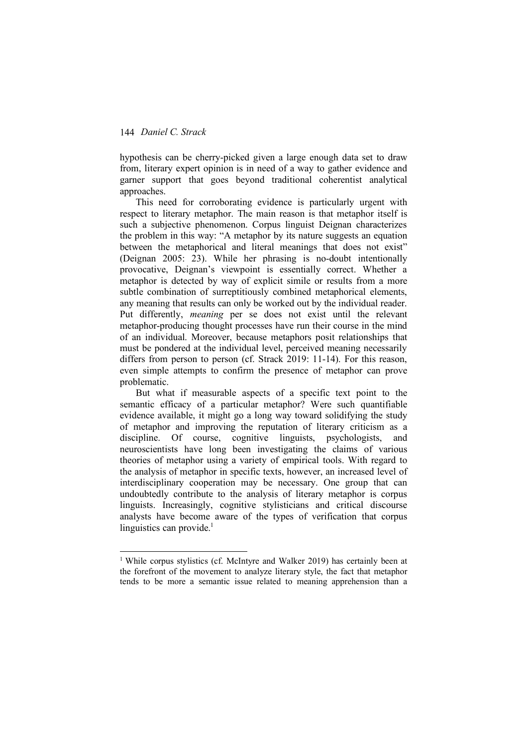hypothesis can be cherry-picked given a large enough data set to draw from, literary expert opinion is in need of a way to gather evidence and garner support that goes beyond traditional coherentist analytical approaches.

This need for corroborating evidence is particularly urgent with respect to literary metaphor. The main reason is that metaphor itself is such a subjective phenomenon. Corpus linguist Deignan characterizes the problem in this way: "A metaphor by its nature suggests an equation between the metaphorical and literal meanings that does not exist" (Deignan 2005: 23). While her phrasing is no-doubt intentionally provocative, Deignan's viewpoint is essentially correct. Whether a metaphor is detected by way of explicit simile or results from a more subtle combination of surreptitiously combined metaphorical elements, any meaning that results can only be worked out by the individual reader. Put differently, *meaning* per se does not exist until the relevant metaphor-producing thought processes have run their course in the mind of an individual. Moreover, because metaphors posit relationships that must be pondered at the individual level, perceived meaning necessarily differs from person to person (cf. Strack 2019: 11-14). For this reason, even simple attempts to confirm the presence of metaphor can prove problematic.

But what if measurable aspects of a specific text point to the semantic efficacy of a particular metaphor? Were such quantifiable evidence available, it might go a long way toward solidifying the study of metaphor and improving the reputation of literary criticism as a discipline. Of course, cognitive linguists, psychologists, and neuroscientists have long been investigating the claims of various theories of metaphor using a variety of empirical tools. With regard to the analysis of metaphor in specific texts, however, an increased level of interdisciplinary cooperation may be necessary. One group that can undoubtedly contribute to the analysis of literary metaphor is corpus linguists. Increasingly, cognitive stylisticians and critical discourse analysts have become aware of the types of verification that corpus linguistics can provide. $<sup>1</sup>$ </sup>

<sup>&</sup>lt;sup>1</sup> While corpus stylistics (cf. McIntyre and Walker 2019) has certainly been at the forefront of the movement to analyze literary style, the fact that metaphor tends to be more a semantic issue related to meaning apprehension than a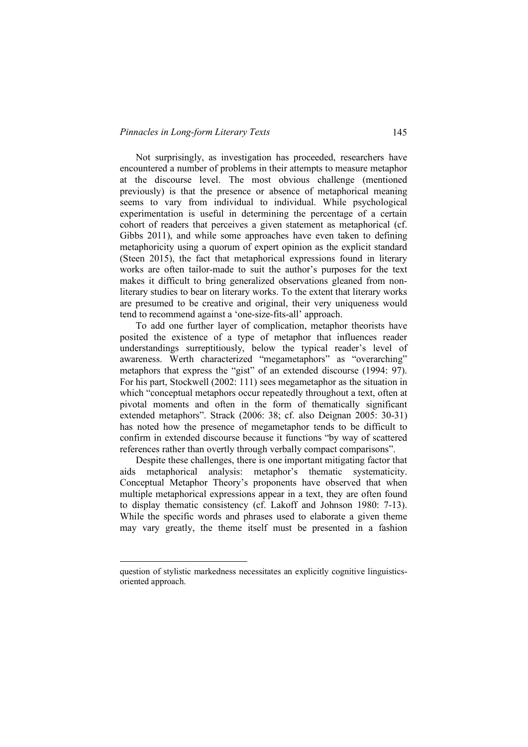Not surprisingly, as investigation has proceeded, researchers have encountered a number of problems in their attempts to measure metaphor at the discourse level. The most obvious challenge (mentioned previously) is that the presence or absence of metaphorical meaning seems to vary from individual to individual. While psychological experimentation is useful in determining the percentage of a certain cohort of readers that perceives a given statement as metaphorical (cf. Gibbs 2011), and while some approaches have even taken to defining metaphoricity using a quorum of expert opinion as the explicit standard (Steen 2015), the fact that metaphorical expressions found in literary works are often tailor-made to suit the author's purposes for the text makes it difficult to bring generalized observations gleaned from nonliterary studies to bear on literary works. To the extent that literary works are presumed to be creative and original, their very uniqueness would tend to recommend against a 'one-size-fits-all' approach.

To add one further layer of complication, metaphor theorists have posited the existence of a type of metaphor that influences reader understandings surreptitiously, below the typical reader's level of awareness. Werth characterized "megametaphors" as "overarching" metaphors that express the "gist" of an extended discourse (1994: 97). For his part, Stockwell (2002: 111) sees megametaphor as the situation in which "conceptual metaphors occur repeatedly throughout a text, often at pivotal moments and often in the form of thematically significant extended metaphors". Strack (2006: 38; cf. also Deignan 2005: 30-31) has noted how the presence of megametaphor tends to be difficult to confirm in extended discourse because it functions "by way of scattered references rather than overtly through verbally compact comparisons".

Despite these challenges, there is one important mitigating factor that aids metaphorical analysis: metaphor's thematic systematicity. Conceptual Metaphor Theory's proponents have observed that when multiple metaphorical expressions appear in a text, they are often found to display thematic consistency (cf. Lakoff and Johnson 1980: 7-13). While the specific words and phrases used to elaborate a given theme may vary greatly, the theme itself must be presented in a fashion

l

question of stylistic markedness necessitates an explicitly cognitive linguisticsoriented approach.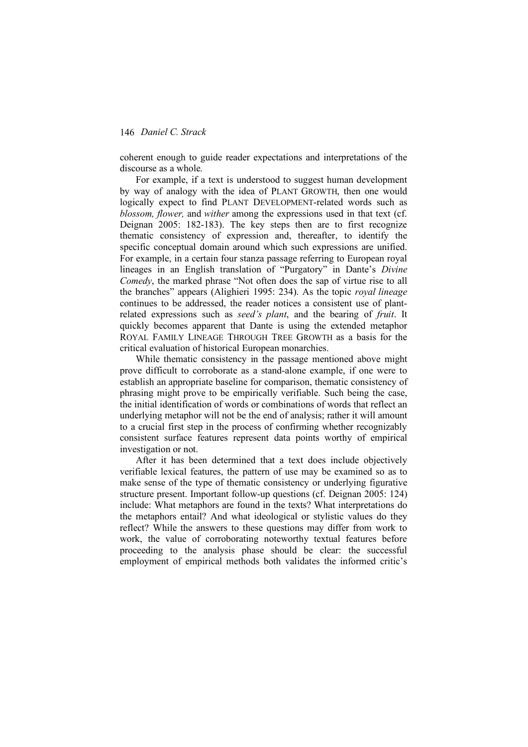coherent enough to guide reader expectations and interpretations of the discourse as a whole.

For example, if a text is understood to suggest human development by way of analogy with the idea of PLANT GROWTH, then one would logically expect to find PLANT DEVELOPMENT-related words such as *blossom, flower,* and *wither* among the expressions used in that text (cf. Deignan 2005: 182-183). The key steps then are to first recognize thematic consistency of expression and, thereafter, to identify the specific conceptual domain around which such expressions are unified. For example, in a certain four stanza passage referring to European royal lineages in an English translation of "Purgatory" in Dante's *Divine Comedy*, the marked phrase "Not often does the sap of virtue rise to all the branches" appears (Alighieri 1995: 234). As the topic *royal lineage* continues to be addressed, the reader notices a consistent use of plantrelated expressions such as *seed's plant*, and the bearing of *fruit*. It quickly becomes apparent that Dante is using the extended metaphor ROYAL FAMILY LINEAGE THROUGH TREE GROWTH as a basis for the critical evaluation of historical European monarchies.

While thematic consistency in the passage mentioned above might prove difficult to corroborate as a stand-alone example, if one were to establish an appropriate baseline for comparison, thematic consistency of phrasing might prove to be empirically verifiable. Such being the case, the initial identification of words or combinations of words that reflect an underlying metaphor will not be the end of analysis; rather it will amount to a crucial first step in the process of confirming whether recognizably consistent surface features represent data points worthy of empirical investigation or not.

After it has been determined that a text does include objectively verifiable lexical features, the pattern of use may be examined so as to make sense of the type of thematic consistency or underlying figurative structure present. Important follow-up questions (cf. Deignan 2005: 124) include: What metaphors are found in the texts? What interpretations do the metaphors entail? And what ideological or stylistic values do they reflect? While the answers to these questions may differ from work to work, the value of corroborating noteworthy textual features before proceeding to the analysis phase should be clear: the successful employment of empirical methods both validates the informed critic's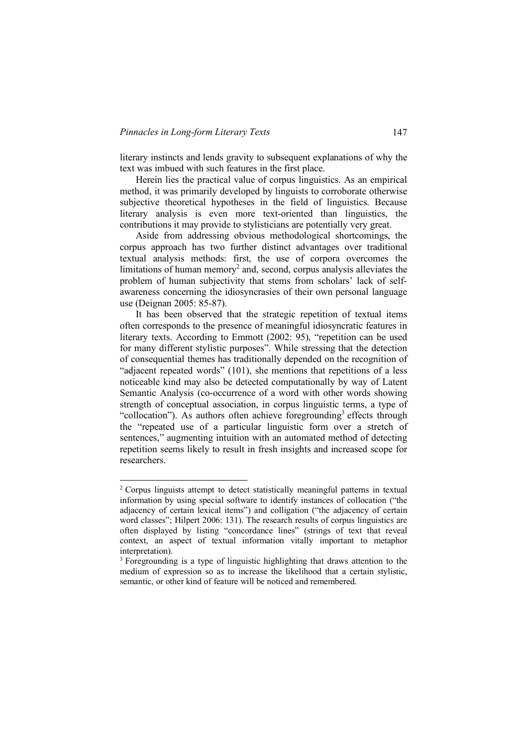literary instincts and lends gravity to subsequent explanations of why the text was imbued with such features in the first place.

Herein lies the practical value of corpus linguistics. As an empirical method, it was primarily developed by linguists to corroborate otherwise subjective theoretical hypotheses in the field of linguistics. Because literary analysis is even more text-oriented than linguistics, the contributions it may provide to stylisticians are potentially very great.

Aside from addressing obvious methodological shortcomings, the corpus approach has two further distinct advantages over traditional textual analysis methods: first, the use of corpora overcomes the limitations of human memory<sup>2</sup> and, second, corpus analysis alleviates the problem of human subjectivity that stems from scholars' lack of selfawareness concerning the idiosyncrasies of their own personal language use (Deignan 2005: 85-87).

It has been observed that the strategic repetition of textual items often corresponds to the presence of meaningful idiosyncratic features in literary texts. According to Emmott (2002: 95), "repetition can be used for many different stylistic purposes". While stressing that the detection of consequential themes has traditionally depended on the recognition of "adjacent repeated words" (101), she mentions that repetitions of a less noticeable kind may also be detected computationally by way of Latent Semantic Analysis (co-occurrence of a word with other words showing strength of conceptual association, in corpus linguistic terms, a type of "collocation"). As authors often achieve foregrounding<sup>3</sup> effects through the "repeated use of a particular linguistic form over a stretch of sentences," augmenting intuition with an automated method of detecting repetition seems likely to result in fresh insights and increased scope for researchers.

<sup>&</sup>lt;sup>2</sup> Corpus linguists attempt to detect statistically meaningful patterns in textual information by using special software to identify instances of collocation ("the adjacency of certain lexical items") and colligation ("the adjacency of certain word classes"; Hilpert 2006: 131). The research results of corpus linguistics are often displayed by listing "concordance lines" (strings of text that reveal context, an aspect of textual information vitally important to metaphor interpretation).

<sup>&</sup>lt;sup>3</sup> Foregrounding is a type of linguistic highlighting that draws attention to the medium of expression so as to increase the likelihood that a certain stylistic, semantic, or other kind of feature will be noticed and remembered.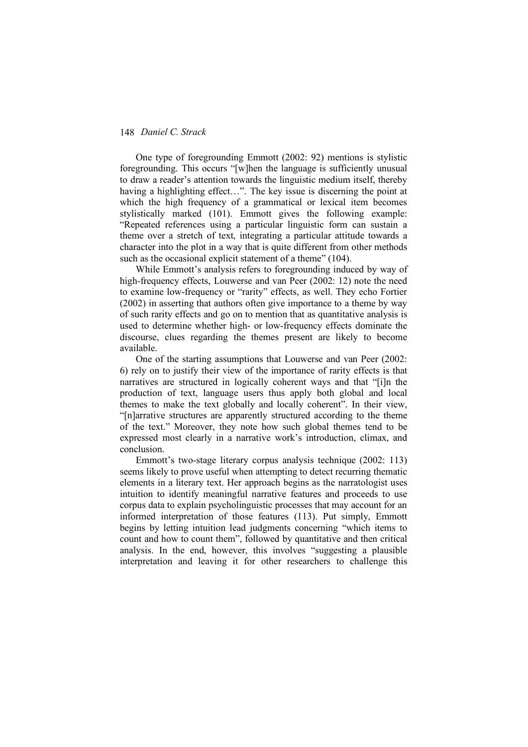One type of foregrounding Emmott (2002: 92) mentions is stylistic foregrounding. This occurs "[w]hen the language is sufficiently unusual to draw a reader's attention towards the linguistic medium itself, thereby having a highlighting effect...". The key issue is discerning the point at which the high frequency of a grammatical or lexical item becomes stylistically marked (101). Emmott gives the following example: "Repeated references using a particular linguistic form can sustain a theme over a stretch of text, integrating a particular attitude towards a character into the plot in a way that is quite different from other methods such as the occasional explicit statement of a theme" (104).

While Emmott's analysis refers to foregrounding induced by way of high-frequency effects, Louwerse and van Peer (2002: 12) note the need to examine low-frequency or "rarity" effects, as well. They echo Fortier (2002) in asserting that authors often give importance to a theme by way of such rarity effects and go on to mention that as quantitative analysis is used to determine whether high- or low-frequency effects dominate the discourse, clues regarding the themes present are likely to become available.

One of the starting assumptions that Louwerse and van Peer (2002: 6) rely on to justify their view of the importance of rarity effects is that narratives are structured in logically coherent ways and that "[i]n the production of text, language users thus apply both global and local themes to make the text globally and locally coherent". In their view, "[n]arrative structures are apparently structured according to the theme of the text." Moreover, they note how such global themes tend to be expressed most clearly in a narrative work's introduction, climax, and conclusion.

Emmott's two-stage literary corpus analysis technique (2002: 113) seems likely to prove useful when attempting to detect recurring thematic elements in a literary text. Her approach begins as the narratologist uses intuition to identify meaningful narrative features and proceeds to use corpus data to explain psycholinguistic processes that may account for an informed interpretation of those features (113). Put simply, Emmott begins by letting intuition lead judgments concerning "which items to count and how to count them", followed by quantitative and then critical analysis. In the end, however, this involves "suggesting a plausible interpretation and leaving it for other researchers to challenge this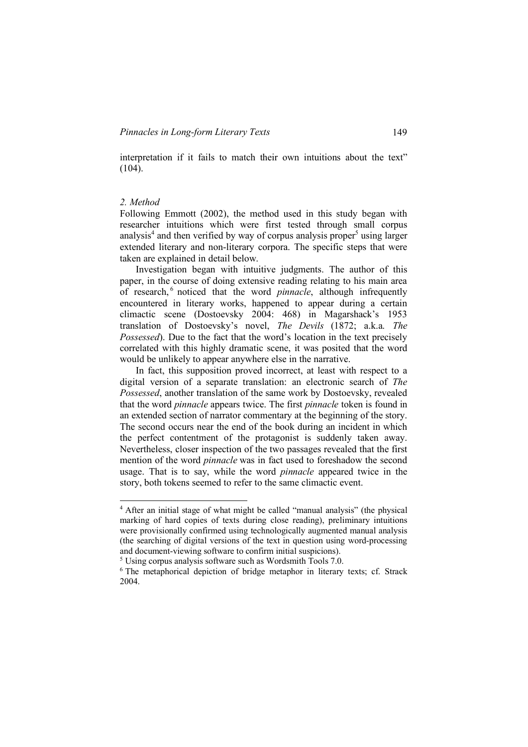interpretation if it fails to match their own intuitions about the text"  $(104)$ .

#### *2. Method*

Following Emmott (2002), the method used in this study began with researcher intuitions which were first tested through small corpus analysis<sup>4</sup> and then verified by way of corpus analysis proper<sup>5</sup> using larger extended literary and non-literary corpora. The specific steps that were taken are explained in detail below.

Investigation began with intuitive judgments. The author of this paper, in the course of doing extensive reading relating to his main area of research, <sup>6</sup> noticed that the word *pinnacle*, although infrequently encountered in literary works, happened to appear during a certain climactic scene (Dostoevsky 2004: 468) in Magarshack's 1953 translation of Dostoevsky's novel, *The Devils* (1872; a.k.a. *The Possessed*). Due to the fact that the word's location in the text precisely correlated with this highly dramatic scene, it was posited that the word would be unlikely to appear anywhere else in the narrative.

In fact, this supposition proved incorrect, at least with respect to a digital version of a separate translation: an electronic search of *The Possessed*, another translation of the same work by Dostoevsky, revealed that the word *pinnacle* appears twice. The first *pinnacle* token is found in an extended section of narrator commentary at the beginning of the story. The second occurs near the end of the book during an incident in which the perfect contentment of the protagonist is suddenly taken away. Nevertheless, closer inspection of the two passages revealed that the first mention of the word *pinnacle* was in fact used to foreshadow the second usage. That is to say, while the word *pinnacle* appeared twice in the story, both tokens seemed to refer to the same climactic event.

 <sup>4</sup> After an initial stage of what might be called "manual analysis" (the physical marking of hard copies of texts during close reading), preliminary intuitions were provisionally confirmed using technologically augmented manual analysis (the searching of digital versions of the text in question using word-processing and document-viewing software to confirm initial suspicions).

<sup>5</sup> Using corpus analysis software such as Wordsmith Tools 7.0.

<sup>&</sup>lt;sup>6</sup> The metaphorical depiction of bridge metaphor in literary texts; cf. Strack 2004.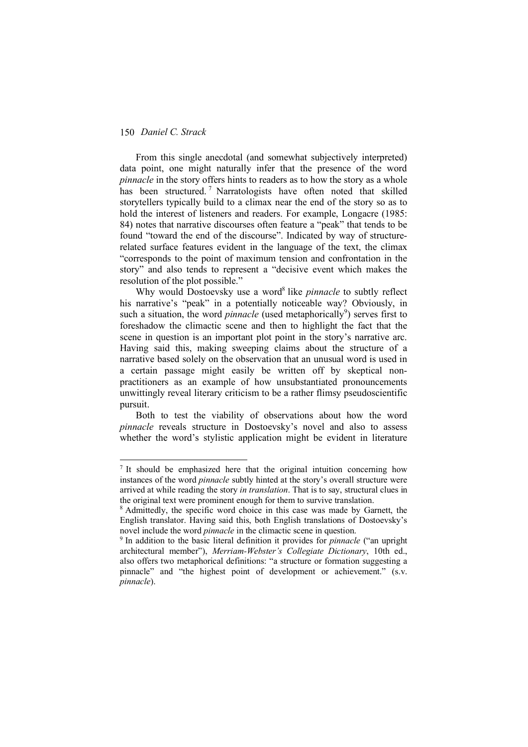From this single anecdotal (and somewhat subjectively interpreted) data point, one might naturally infer that the presence of the word *pinnacle* in the story offers hints to readers as to how the story as a whole has been structured.<sup>7</sup> Narratologists have often noted that skilled storytellers typically build to a climax near the end of the story so as to hold the interest of listeners and readers. For example, Longacre (1985: 84) notes that narrative discourses often feature a "peak" that tends to be found "toward the end of the discourse". Indicated by way of structurerelated surface features evident in the language of the text, the climax "corresponds to the point of maximum tension and confrontation in the story" and also tends to represent a "decisive event which makes the resolution of the plot possible."

Why would Dostoevsky use a word<sup>8</sup> like *pinnacle* to subtly reflect his narrative's "peak" in a potentially noticeable way? Obviously, in such a situation, the word *pinnacle* (used metaphorically<sup>9</sup>) serves first to foreshadow the climactic scene and then to highlight the fact that the scene in question is an important plot point in the story's narrative arc. Having said this, making sweeping claims about the structure of a narrative based solely on the observation that an unusual word is used in a certain passage might easily be written off by skeptical nonpractitioners as an example of how unsubstantiated pronouncements unwittingly reveal literary criticism to be a rather flimsy pseudoscientific pursuit.

Both to test the viability of observations about how the word *pinnacle* reveals structure in Dostoevsky's novel and also to assess whether the word's stylistic application might be evident in literature

<sup>&</sup>lt;sup>7</sup> It should be emphasized here that the original intuition concerning how instances of the word *pinnacle* subtly hinted at the story's overall structure were arrived at while reading the story *in translation*. That is to say, structural clues in the original text were prominent enough for them to survive translation.

<sup>8</sup> Admittedly, the specific word choice in this case was made by Garnett, the English translator. Having said this, both English translations of Dostoevsky's novel include the word *pinnacle* in the climactic scene in question.

<sup>9</sup> In addition to the basic literal definition it provides for *pinnacle* ("an upright architectural member"), *Merriam-Webster's Collegiate Dictionary*, 10th ed., also offers two metaphorical definitions: "a structure or formation suggesting a pinnacle" and "the highest point of development or achievement." (s.v. *pinnacle*).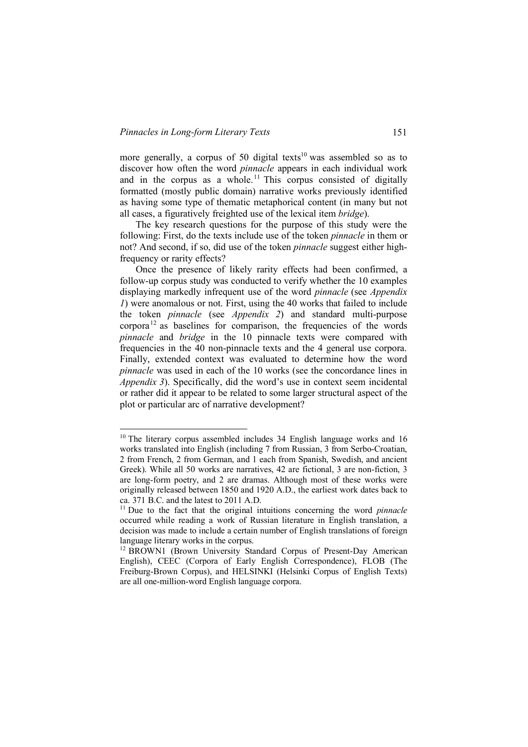more generally, a corpus of 50 digital texts<sup>10</sup> was assembled so as to discover how often the word *pinnacle* appears in each individual work and in the corpus as a whole.<sup>11</sup> This corpus consisted of digitally formatted (mostly public domain) narrative works previously identified as having some type of thematic metaphorical content (in many but not all cases, a figuratively freighted use of the lexical item *bridge*).

The key research questions for the purpose of this study were the following: First, do the texts include use of the token *pinnacle* in them or not? And second, if so, did use of the token *pinnacle* suggest either highfrequency or rarity effects?

Once the presence of likely rarity effects had been confirmed, a follow-up corpus study was conducted to verify whether the 10 examples displaying markedly infrequent use of the word *pinnacle* (see *Appendix 1*) were anomalous or not. First, using the 40 works that failed to include the token *pinnacle* (see *Appendix 2*) and standard multi-purpose  $\alpha$ corpora<sup>12</sup> as baselines for comparison, the frequencies of the words *pinnacle* and *bridge* in the 10 pinnacle texts were compared with frequencies in the 40 non-pinnacle texts and the 4 general use corpora. Finally, extended context was evaluated to determine how the word *pinnacle* was used in each of the 10 works (see the concordance lines in *Appendix 3*). Specifically, did the word's use in context seem incidental or rather did it appear to be related to some larger structural aspect of the plot or particular arc of narrative development?

<sup>&</sup>lt;sup>10</sup> The literary corpus assembled includes 34 English language works and 16 works translated into English (including 7 from Russian, 3 from Serbo-Croatian, 2 from French, 2 from German, and 1 each from Spanish, Swedish, and ancient Greek). While all 50 works are narratives, 42 are fictional, 3 are non-fiction, 3 are long-form poetry, and 2 are dramas. Although most of these works were originally released between 1850 and 1920 A.D., the earliest work dates back to ca. 371 B.C. and the latest to 2011 A.D.

<sup>11</sup> Due to the fact that the original intuitions concerning the word *pinnacle* occurred while reading a work of Russian literature in English translation, a decision was made to include a certain number of English translations of foreign language literary works in the corpus.

<sup>&</sup>lt;sup>12</sup> BROWN1 (Brown University Standard Corpus of Present-Day American English), CEEC (Corpora of Early English Correspondence), FLOB (The Freiburg-Brown Corpus), and HELSINKI (Helsinki Corpus of English Texts) are all one-million-word English language corpora.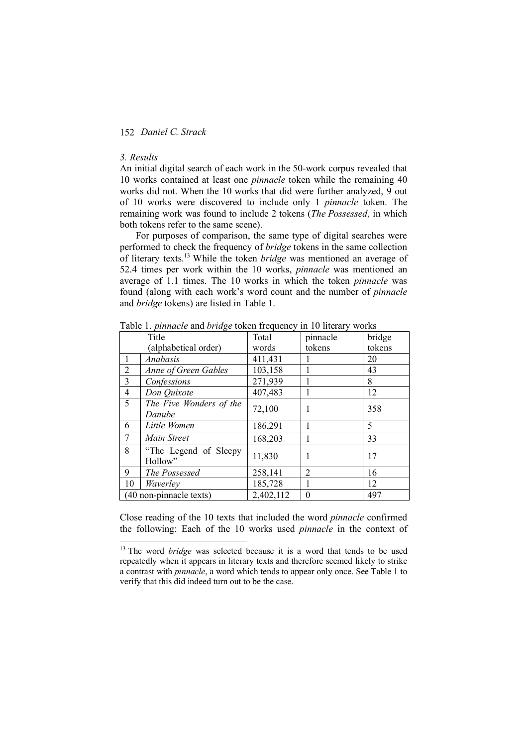#### *3. Results*

An initial digital search of each work in the 50-work corpus revealed that 10 works contained at least one *pinnacle* token while the remaining 40 works did not. When the 10 works that did were further analyzed, 9 out of 10 works were discovered to include only 1 *pinnacle* token. The remaining work was found to include 2 tokens (*The Possessed*, in which both tokens refer to the same scene).

For purposes of comparison, the same type of digital searches were performed to check the frequency of *bridge* tokens in the same collection of literary texts.13 While the token *bridge* was mentioned an average of 52.4 times per work within the 10 works, *pinnacle* was mentioned an average of 1.1 times. The 10 works in which the token *pinnacle* was found (along with each work's word count and the number of *pinnacle* and *bridge* tokens) are listed in Table 1.

| Two T. <i>phinacle</i> and <i>orage</i> towen hequency in To head y<br><u>WULIAJ</u> |                         |           |                |        |  |  |  |
|--------------------------------------------------------------------------------------|-------------------------|-----------|----------------|--------|--|--|--|
| Title                                                                                |                         | Total     | pinnacle       | bridge |  |  |  |
| (alphabetical order)                                                                 |                         | words     | tokens         | tokens |  |  |  |
|                                                                                      | Anabasis                | 411,431   |                | 20     |  |  |  |
| 2                                                                                    | Anne of Green Gables    | 103,158   |                | 43     |  |  |  |
| $\overline{3}$                                                                       | Confessions             | 271,939   |                | 8      |  |  |  |
| 4                                                                                    | Don Quixote             | 407,483   |                | 12     |  |  |  |
| 5                                                                                    | The Five Wonders of the | 72,100    | 1              | 358    |  |  |  |
|                                                                                      | Danube                  |           |                |        |  |  |  |
| 6                                                                                    | Little Women            | 186,291   |                | 5      |  |  |  |
| 7                                                                                    | Main Street             | 168,203   |                | 33     |  |  |  |
| 8                                                                                    | "The Legend of Sleepy"  | 11,830    |                | 17     |  |  |  |
|                                                                                      | Hollow"                 |           |                |        |  |  |  |
| 9                                                                                    | The Possessed           | 258,141   | $\overline{2}$ | 16     |  |  |  |
| 10                                                                                   | Waverley                | 185,728   |                | 12     |  |  |  |
| (40 non-pinnacle texts)                                                              |                         | 2,402,112 | $\theta$       | 497    |  |  |  |

Table 1. *pinnacle* and *bridge* token frequency in 10 literary works

Close reading of the 10 texts that included the word *pinnacle* confirmed the following: Each of the 10 works used *pinnacle* in the context of

<sup>&</sup>lt;sup>13</sup> The word *bridge* was selected because it is a word that tends to be used repeatedly when it appears in literary texts and therefore seemed likely to strike a contrast with *pinnacle*, a word which tends to appear only once. See Table 1 to verify that this did indeed turn out to be the case.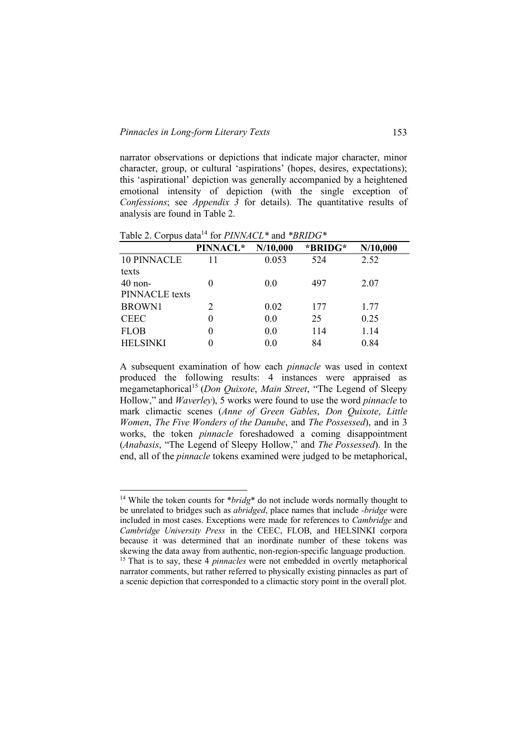narrator observations or depictions that indicate major character, minor character, group, or cultural 'aspirations' (hopes, desires, expectations); this 'aspirational' depiction was generally accompanied by a heightened emotional intensity of depiction (with the single exception of *Confessions*; see *Appendix 3* for details). The quantitative results of analysis are found in Table 2.

|                    | PINNACL* | N/10,000 | *BRIDG* | N/10,000 |
|--------------------|----------|----------|---------|----------|
| <b>10 PINNACLE</b> | 11       | 0.053    | 524     | 2.52     |
| texts              |          |          |         |          |
| $40$ non-          | 0        | 0.0      | 497     | 2.07     |
| PINNACLE texts     |          |          |         |          |
| <b>BROWN1</b>      | 2        | 0.02     | 177     | 1.77     |
| <b>CEEC</b>        | $\theta$ | 0.0      | 25      | 0.25     |
| <b>FLOB</b>        | 0        | 0.0      | 114     | 1.14     |
| <b>HELSINKI</b>    | 0        | 0.0      | 84      | 0.84     |

Table 2. Corpus data<sup>14</sup> for *PINNACL*<sup>\*</sup> and <sup>\*</sup>*BRIDG*<sup>\*</sup>

A subsequent examination of how each *pinnacle* was used in context produced the following results: 4 instances were appraised as megametaphorical<sup>15</sup> (*Don Quixote*, *Main Street*, "The Legend of Sleepy Hollow," and *Waverley*), 5 works were found to use the word *pinnacle* to mark climactic scenes (*Anne of Green Gables*, *Don Quixote*, *Little Women*, *The Five Wonders of the Danube*, and *The Possessed*), and in 3 works, the token *pinnacle* foreshadowed a coming disappointment (*Anabasis*, "The Legend of Sleepy Hollow," and *The Possessed*). In the end, all of the *pinnacle* tokens examined were judged to be metaphorical,

<sup>&</sup>lt;sup>14</sup> While the token counts for \**bridg*\* do not include words normally thought to be unrelated to bridges such as *abridged*, place names that include *-bridge* were included in most cases. Exceptions were made for references to *Cambridge* and *Cambridge University Press* in the CEEC, FLOB, and HELSINKI corpora because it was determined that an inordinate number of these tokens was skewing the data away from authentic, non-region-specific language production. <sup>15</sup> That is to say, these 4 *pinnacles* were not embedded in overtly metaphorical narrator comments, but rather referred to physically existing pinnacles as part of a scenic depiction that corresponded to a climactic story point in the overall plot.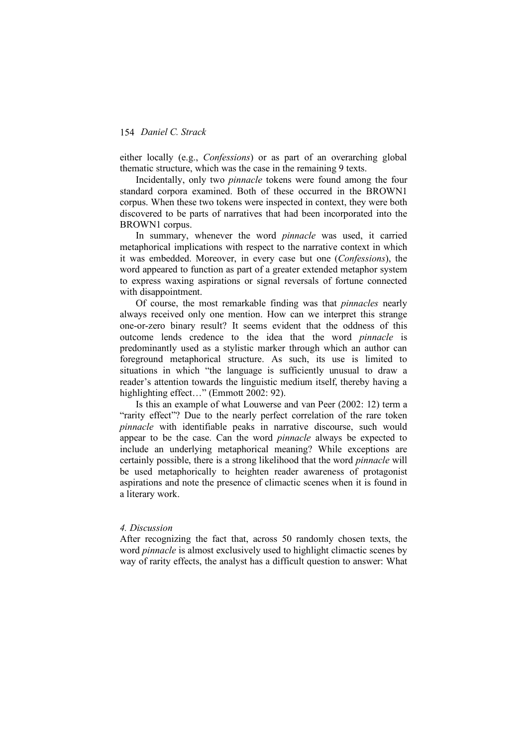either locally (e.g., *Confessions*) or as part of an overarching global thematic structure, which was the case in the remaining 9 texts.

Incidentally, only two *pinnacle* tokens were found among the four standard corpora examined. Both of these occurred in the BROWN1 corpus. When these two tokens were inspected in context, they were both discovered to be parts of narratives that had been incorporated into the BROWN1 corpus.

In summary, whenever the word *pinnacle* was used, it carried metaphorical implications with respect to the narrative context in which it was embedded. Moreover, in every case but one (*Confessions*), the word appeared to function as part of a greater extended metaphor system to express waxing aspirations or signal reversals of fortune connected with disappointment.

Of course, the most remarkable finding was that *pinnacles* nearly always received only one mention. How can we interpret this strange one-or-zero binary result? It seems evident that the oddness of this outcome lends credence to the idea that the word *pinnacle* is predominantly used as a stylistic marker through which an author can foreground metaphorical structure. As such, its use is limited to situations in which "the language is sufficiently unusual to draw a reader's attention towards the linguistic medium itself, thereby having a highlighting effect..." (Emmott 2002: 92).

Is this an example of what Louwerse and van Peer (2002: 12) term a "rarity effect"? Due to the nearly perfect correlation of the rare token *pinnacle* with identifiable peaks in narrative discourse, such would appear to be the case. Can the word *pinnacle* always be expected to include an underlying metaphorical meaning? While exceptions are certainly possible, there is a strong likelihood that the word *pinnacle* will be used metaphorically to heighten reader awareness of protagonist aspirations and note the presence of climactic scenes when it is found in a literary work.

#### *4. Discussion*

After recognizing the fact that, across 50 randomly chosen texts, the word *pinnacle* is almost exclusively used to highlight climactic scenes by way of rarity effects, the analyst has a difficult question to answer: What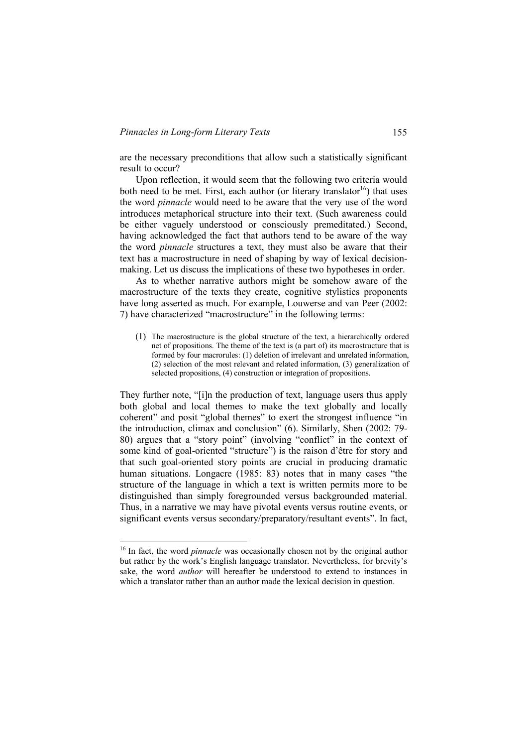are the necessary preconditions that allow such a statistically significant result to occur?

Upon reflection, it would seem that the following two criteria would both need to be met. First, each author (or literary translator<sup>16</sup>) that uses the word *pinnacle* would need to be aware that the very use of the word introduces metaphorical structure into their text. (Such awareness could be either vaguely understood or consciously premeditated.) Second, having acknowledged the fact that authors tend to be aware of the way the word *pinnacle* structures a text, they must also be aware that their text has a macrostructure in need of shaping by way of lexical decisionmaking. Let us discuss the implications of these two hypotheses in order.

As to whether narrative authors might be somehow aware of the macrostructure of the texts they create, cognitive stylistics proponents have long asserted as much. For example, Louwerse and van Peer (2002: 7) have characterized "macrostructure" in the following terms:

(1) The macrostructure is the global structure of the text, a hierarchically ordered net of propositions. The theme of the text is (a part of) its macrostructure that is formed by four macrorules: (1) deletion of irrelevant and unrelated information, (2) selection of the most relevant and related information, (3) generalization of selected propositions, (4) construction or integration of propositions.

They further note, "[i]n the production of text, language users thus apply both global and local themes to make the text globally and locally coherent" and posit "global themes" to exert the strongest influence "in the introduction, climax and conclusion" (6). Similarly, Shen (2002: 79- 80) argues that a "story point" (involving "conflict" in the context of some kind of goal-oriented "structure") is the raison d'être for story and that such goal-oriented story points are crucial in producing dramatic human situations. Longacre (1985: 83) notes that in many cases "the structure of the language in which a text is written permits more to be distinguished than simply foregrounded versus backgrounded material. Thus, in a narrative we may have pivotal events versus routine events, or significant events versus secondary/preparatory/resultant events". In fact,

 <sup>16</sup> In fact, the word *pinnacle* was occasionally chosen not by the original author but rather by the work's English language translator. Nevertheless, for brevity's sake, the word *author* will hereafter be understood to extend to instances in which a translator rather than an author made the lexical decision in question.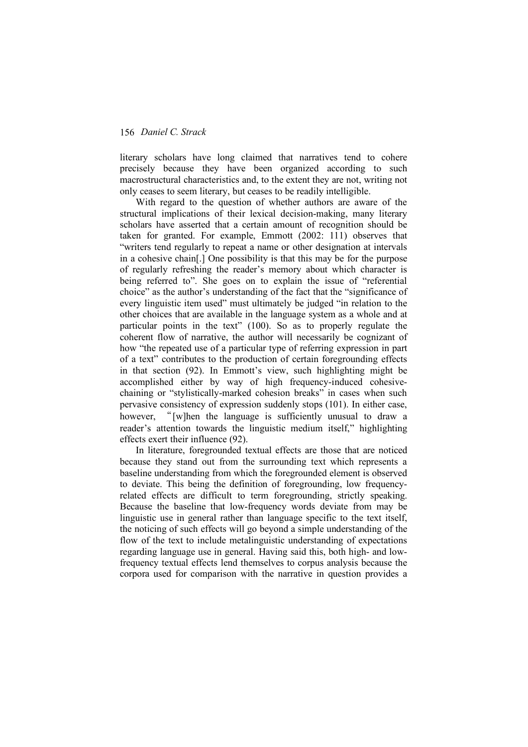literary scholars have long claimed that narratives tend to cohere precisely because they have been organized according to such macrostructural characteristics and, to the extent they are not, writing not only ceases to seem literary, but ceases to be readily intelligible.

With regard to the question of whether authors are aware of the structural implications of their lexical decision-making, many literary scholars have asserted that a certain amount of recognition should be taken for granted. For example, Emmott (2002: 111) observes that "writers tend regularly to repeat a name or other designation at intervals in a cohesive chain[.] One possibility is that this may be for the purpose of regularly refreshing the reader's memory about which character is being referred to". She goes on to explain the issue of "referential choice" as the author's understanding of the fact that the "significance of every linguistic item used" must ultimately be judged "in relation to the other choices that are available in the language system as a whole and at particular points in the text" (100). So as to properly regulate the coherent flow of narrative, the author will necessarily be cognizant of how "the repeated use of a particular type of referring expression in part of a text" contributes to the production of certain foregrounding effects in that section (92). In Emmott's view, such highlighting might be accomplished either by way of high frequency-induced cohesivechaining or "stylistically-marked cohesion breaks" in cases when such pervasive consistency of expression suddenly stops (101). In either case, however. "[w]hen the language is sufficiently unusual to draw a reader's attention towards the linguistic medium itself," highlighting effects exert their influence (92).

In literature, foregrounded textual effects are those that are noticed because they stand out from the surrounding text which represents a baseline understanding from which the foregrounded element is observed to deviate. This being the definition of foregrounding, low frequencyrelated effects are difficult to term foregrounding, strictly speaking. Because the baseline that low-frequency words deviate from may be linguistic use in general rather than language specific to the text itself, the noticing of such effects will go beyond a simple understanding of the flow of the text to include metalinguistic understanding of expectations regarding language use in general. Having said this, both high- and lowfrequency textual effects lend themselves to corpus analysis because the corpora used for comparison with the narrative in question provides a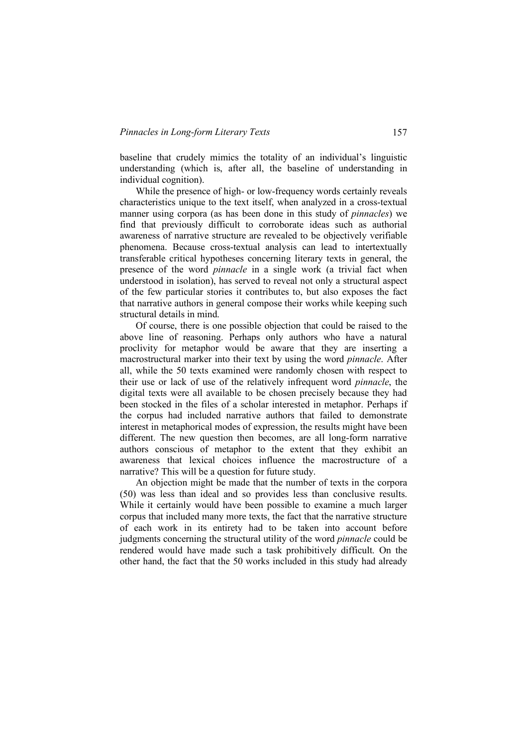baseline that crudely mimics the totality of an individual's linguistic understanding (which is, after all, the baseline of understanding in individual cognition).

While the presence of high- or low-frequency words certainly reveals characteristics unique to the text itself, when analyzed in a cross-textual manner using corpora (as has been done in this study of *pinnacles*) we find that previously difficult to corroborate ideas such as authorial awareness of narrative structure are revealed to be objectively verifiable phenomena. Because cross-textual analysis can lead to intertextually transferable critical hypotheses concerning literary texts in general, the presence of the word *pinnacle* in a single work (a trivial fact when understood in isolation), has served to reveal not only a structural aspect of the few particular stories it contributes to, but also exposes the fact that narrative authors in general compose their works while keeping such structural details in mind.

Of course, there is one possible objection that could be raised to the above line of reasoning. Perhaps only authors who have a natural proclivity for metaphor would be aware that they are inserting a macrostructural marker into their text by using the word *pinnacle*. After all, while the 50 texts examined were randomly chosen with respect to their use or lack of use of the relatively infrequent word *pinnacle*, the digital texts were all available to be chosen precisely because they had been stocked in the files of a scholar interested in metaphor. Perhaps if the corpus had included narrative authors that failed to demonstrate interest in metaphorical modes of expression, the results might have been different. The new question then becomes, are all long-form narrative authors conscious of metaphor to the extent that they exhibit an awareness that lexical choices influence the macrostructure of a narrative? This will be a question for future study.

An objection might be made that the number of texts in the corpora (50) was less than ideal and so provides less than conclusive results. While it certainly would have been possible to examine a much larger corpus that included many more texts, the fact that the narrative structure of each work in its entirety had to be taken into account before judgments concerning the structural utility of the word *pinnacle* could be rendered would have made such a task prohibitively difficult. On the other hand, the fact that the 50 works included in this study had already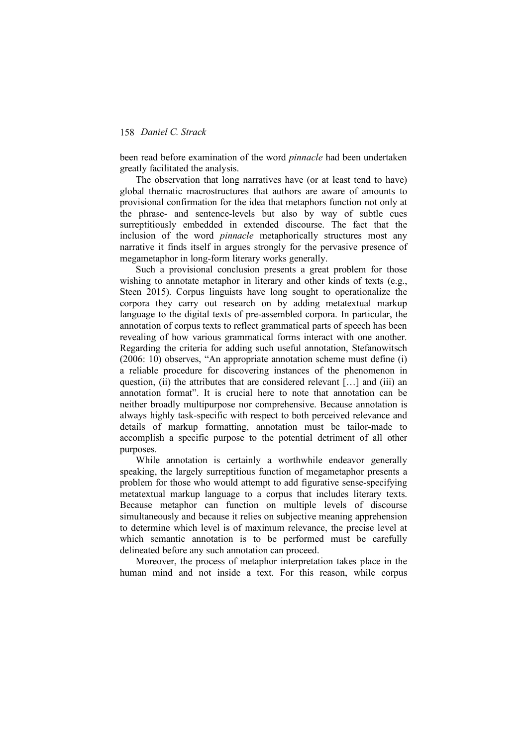been read before examination of the word *pinnacle* had been undertaken greatly facilitated the analysis.

The observation that long narratives have (or at least tend to have) global thematic macrostructures that authors are aware of amounts to provisional confirmation for the idea that metaphors function not only at the phrase- and sentence-levels but also by way of subtle cues surreptitiously embedded in extended discourse. The fact that the inclusion of the word *pinnacle* metaphorically structures most any narrative it finds itself in argues strongly for the pervasive presence of megametaphor in long-form literary works generally.

Such a provisional conclusion presents a great problem for those wishing to annotate metaphor in literary and other kinds of texts (e.g., Steen 2015). Corpus linguists have long sought to operationalize the corpora they carry out research on by adding metatextual markup language to the digital texts of pre-assembled corpora. In particular, the annotation of corpus texts to reflect grammatical parts of speech has been revealing of how various grammatical forms interact with one another. Regarding the criteria for adding such useful annotation, Stefanowitsch (2006: 10) observes, "An appropriate annotation scheme must define (i) a reliable procedure for discovering instances of the phenomenon in question, (ii) the attributes that are considered relevant […] and (iii) an annotation format". It is crucial here to note that annotation can be neither broadly multipurpose nor comprehensive. Because annotation is always highly task-specific with respect to both perceived relevance and details of markup formatting, annotation must be tailor-made to accomplish a specific purpose to the potential detriment of all other purposes.

While annotation is certainly a worthwhile endeavor generally speaking, the largely surreptitious function of megametaphor presents a problem for those who would attempt to add figurative sense-specifying metatextual markup language to a corpus that includes literary texts. Because metaphor can function on multiple levels of discourse simultaneously and because it relies on subjective meaning apprehension to determine which level is of maximum relevance, the precise level at which semantic annotation is to be performed must be carefully delineated before any such annotation can proceed.

Moreover, the process of metaphor interpretation takes place in the human mind and not inside a text. For this reason, while corpus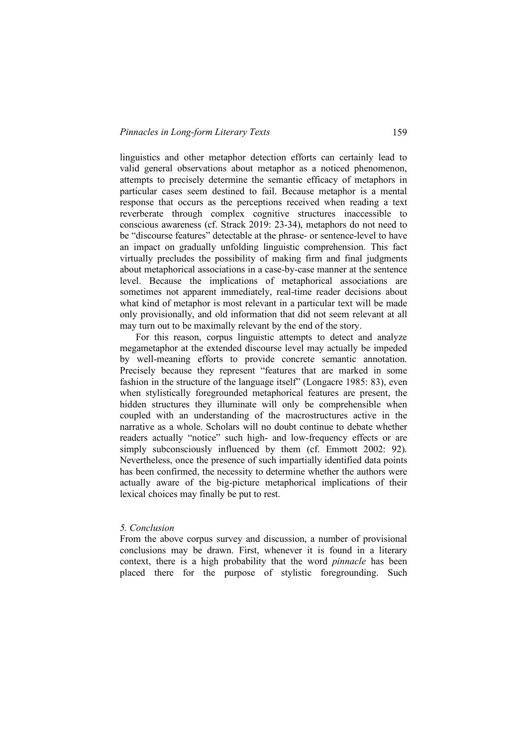linguistics and other metaphor detection efforts can certainly lead to valid general observations about metaphor as a noticed phenomenon, attempts to precisely determine the semantic efficacy of metaphors in particular cases seem destined to fail. Because metaphor is a mental response that occurs as the perceptions received when reading a text reverberate through complex cognitive structures inaccessible to conscious awareness (cf. Strack 2019: 23-34), metaphors do not need to be "discourse features" detectable at the phrase- or sentence-level to have an impact on gradually unfolding linguistic comprehension. This fact virtually precludes the possibility of making firm and final judgments about metaphorical associations in a case-by-case manner at the sentence level. Because the implications of metaphorical associations are sometimes not apparent immediately, real-time reader decisions about what kind of metaphor is most relevant in a particular text will be made only provisionally, and old information that did not seem relevant at all may turn out to be maximally relevant by the end of the story.

For this reason, corpus linguistic attempts to detect and analyze megametaphor at the extended discourse level may actually be impeded by well-meaning efforts to provide concrete semantic annotation. Precisely because they represent "features that are marked in some fashion in the structure of the language itself" (Longacre 1985: 83), even when stylistically foregrounded metaphorical features are present, the hidden structures they illuminate will only be comprehensible when coupled with an understanding of the macrostructures active in the narrative as a whole. Scholars will no doubt continue to debate whether readers actually "notice" such high- and low-frequency effects or are simply subconsciously influenced by them (cf. Emmott 2002: 92). Nevertheless, once the presence of such impartially identified data points has been confirmed, the necessity to determine whether the authors were actually aware of the big-picture metaphorical implications of their lexical choices may finally be put to rest.

#### *5. Conclusion*

From the above corpus survey and discussion, a number of provisional conclusions may be drawn. First, whenever it is found in a literary context, there is a high probability that the word *pinnacle* has been placed there for the purpose of stylistic foregrounding. Such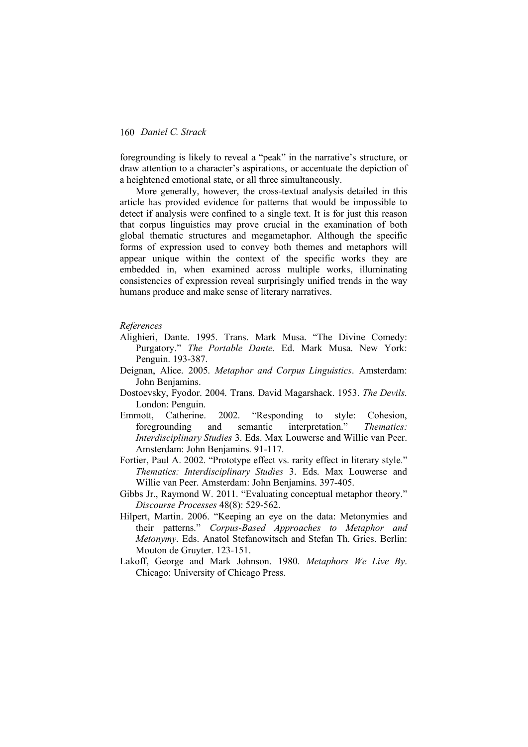foregrounding is likely to reveal a "peak" in the narrative's structure, or draw attention to a character's aspirations, or accentuate the depiction of a heightened emotional state, or all three simultaneously.

More generally, however, the cross-textual analysis detailed in this article has provided evidence for patterns that would be impossible to detect if analysis were confined to a single text. It is for just this reason that corpus linguistics may prove crucial in the examination of both global thematic structures and megametaphor. Although the specific forms of expression used to convey both themes and metaphors will appear unique within the context of the specific works they are embedded in, when examined across multiple works, illuminating consistencies of expression reveal surprisingly unified trends in the way humans produce and make sense of literary narratives.

#### *References*

- Alighieri, Dante. 1995. Trans. Mark Musa. "The Divine Comedy: Purgatory." *The Portable Dante*. Ed. Mark Musa. New York: Penguin. 193-387.
- Deignan, Alice. 2005. *Metaphor and Corpus Linguistics*. Amsterdam: John Benjamins.
- Dostoevsky, Fyodor. 2004. Trans. David Magarshack. 1953. *The Devils*. London: Penguin.
- Emmott, Catherine. 2002. "Responding to style: Cohesion, foregrounding and semantic interpretation." *Thematics: Interdisciplinary Studies* 3. Eds. Max Louwerse and Willie van Peer. Amsterdam: John Benjamins. 91-117.
- Fortier, Paul A. 2002. "Prototype effect vs. rarity effect in literary style." *Thematics: Interdisciplinary Studies* 3. Eds. Max Louwerse and Willie van Peer. Amsterdam: John Benjamins. 397-405.
- Gibbs Jr., Raymond W. 2011. "Evaluating conceptual metaphor theory." *Discourse Processes* 48(8): 529-562.
- Hilpert, Martin. 2006. "Keeping an eye on the data: Metonymies and their patterns." *Corpus-Based Approaches to Metaphor and Metonymy*. Eds. Anatol Stefanowitsch and Stefan Th. Gries. Berlin: Mouton de Gruyter. 123-151.
- Lakoff, George and Mark Johnson. 1980. *Metaphors We Live By*. Chicago: University of Chicago Press.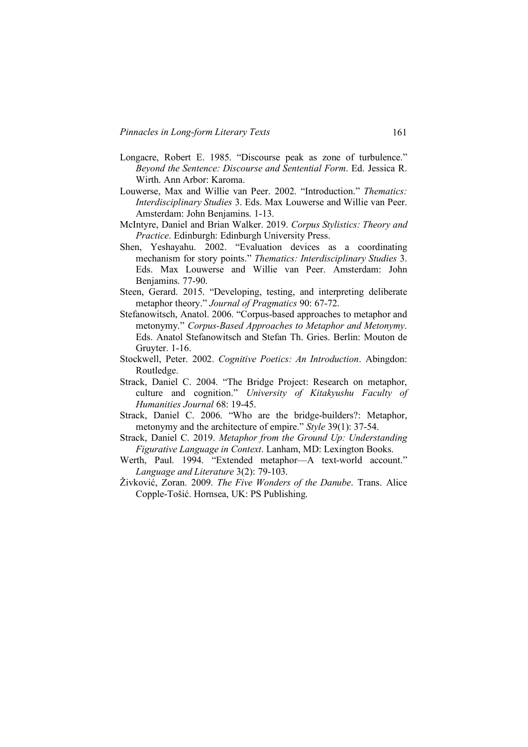- Longacre, Robert E. 1985. "Discourse peak as zone of turbulence." *Beyond the Sentence: Discourse and Sentential Form*. Ed. Jessica R. Wirth. Ann Arbor: Karoma.
- Louwerse, Max and Willie van Peer. 2002. "Introduction." *Thematics: Interdisciplinary Studies* 3. Eds. Max Louwerse and Willie van Peer. Amsterdam: John Benjamins. 1-13.
- McIntyre, Daniel and Brian Walker. 2019. *Corpus Stylistics: Theory and Practice*. Edinburgh: Edinburgh University Press.
- Shen, Yeshayahu. 2002. "Evaluation devices as a coordinating mechanism for story points." *Thematics: Interdisciplinary Studies* 3. Eds. Max Louwerse and Willie van Peer. Amsterdam: John Benjamins. 77-90.
- Steen, Gerard. 2015. "Developing, testing, and interpreting deliberate metaphor theory." *Journal of Pragmatics* 90: 67-72.
- Stefanowitsch, Anatol. 2006. "Corpus-based approaches to metaphor and metonymy." *Corpus-Based Approaches to Metaphor and Metonymy*. Eds. Anatol Stefanowitsch and Stefan Th. Gries. Berlin: Mouton de Gruyter. 1-16.
- Stockwell, Peter. 2002. *Cognitive Poetics: An Introduction*. Abingdon: Routledge.
- Strack, Daniel C. 2004. "The Bridge Project: Research on metaphor, culture and cognition." *University of Kitakyushu Faculty of Humanities Journal* 68: 19-45.
- Strack, Daniel C. 2006. "Who are the bridge-builders?: Metaphor, metonymy and the architecture of empire." *Style* 39(1): 37-54.
- Strack, Daniel C. 2019. *Metaphor from the Ground Up: Understanding Figurative Language in Context*. Lanham, MD: Lexington Books.
- Werth, Paul. 1994. "Extended metaphor—A text-world account." *Language and Literature* 3(2): 79-103.
- Živković, Zoran. 2009. *The Five Wonders of the Danube*. Trans. Alice Copple-Tošić. Hornsea, UK: PS Publishing.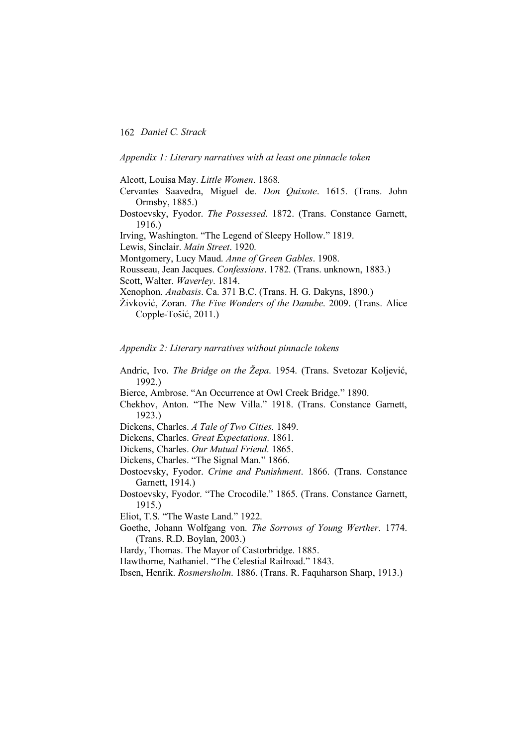*Appendix 1: Literary narratives with at least one pinnacle token*

Alcott, Louisa May. *Little Women*. 1868.

- Cervantes Saavedra, Miguel de. *Don Quixote*. 1615. (Trans. John Ormsby, 1885.)
- Dostoevsky, Fyodor. *The Possessed*. 1872. (Trans. Constance Garnett, 1916.)

Irving, Washington. "The Legend of Sleepy Hollow." 1819.

Lewis, Sinclair. *Main Street*. 1920.

Montgomery, Lucy Maud. *Anne of Green Gables*. 1908.

Rousseau, Jean Jacques. *Confessions*. 1782. (Trans. unknown, 1883.) Scott, Walter. *Waverley*. 1814.

Xenophon. *Anabasis*. Ca. 371 B.C. (Trans. H. G. Dakyns, 1890.)

Živković, Zoran. *The Five Wonders of the Danube*. 2009. (Trans. Alice Copple-Tošić, 2011.)

*Appendix 2: Literary narratives without pinnacle tokens*

- Andric, Ivo. *The Bridge on the Žepa*. 1954. (Trans. Svetozar Koljević, 1992.)
- Bierce, Ambrose. "An Occurrence at Owl Creek Bridge." 1890.
- Chekhov, Anton. "The New Villa." 1918. (Trans. Constance Garnett, 1923.)
- Dickens, Charles. *A Tale of Two Cities*. 1849.
- Dickens, Charles. *Great Expectations*. 1861.

Dickens, Charles. *Our Mutual Friend*. 1865.

Dickens, Charles. "The Signal Man." 1866.

Dostoevsky, Fyodor. *Crime and Punishment*. 1866. (Trans. Constance Garnett, 1914.)

Dostoevsky, Fyodor. "The Crocodile." 1865. (Trans. Constance Garnett, 1915.)

Eliot, T.S. "The Waste Land." 1922.

Goethe, Johann Wolfgang von. *The Sorrows of Young Werther*. 1774. (Trans. R.D. Boylan, 2003.)

Hardy, Thomas. The Mayor of Castorbridge. 1885.

Hawthorne, Nathaniel. "The Celestial Railroad." 1843.

Ibsen, Henrik. *Rosmersholm*. 1886. (Trans. R. Faquharson Sharp, 1913.)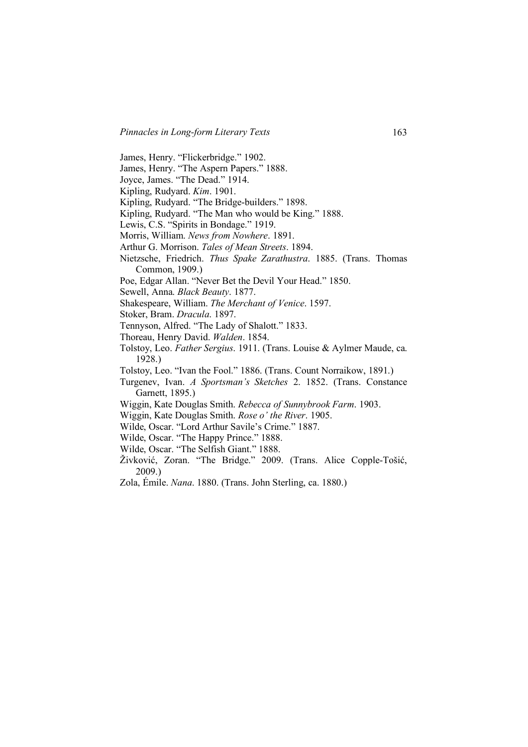James, Henry. "Flickerbridge." 1902.

James, Henry. "The Aspern Papers." 1888.

Joyce, James. "The Dead." 1914.

Kipling, Rudyard. *Kim*. 1901.

Kipling, Rudyard. "The Bridge-builders." 1898.

Kipling, Rudyard. "The Man who would be King." 1888.

Lewis, C.S. "Spirits in Bondage." 1919.

Morris, William. *News from Nowhere*. 1891.

Arthur G. Morrison. *Tales of Mean Streets*. 1894.

Nietzsche, Friedrich. *Thus Spake Zarathustra*. 1885. (Trans. Thomas Common, 1909.)

Poe, Edgar Allan. "Never Bet the Devil Your Head." 1850.

Sewell, Anna. *Black Beauty*. 1877.

Shakespeare, William. *The Merchant of Venice*. 1597.

Stoker, Bram. *Dracula*. 1897.

Tennyson, Alfred. "The Lady of Shalott." 1833.

Thoreau, Henry David. *Walden*. 1854.

Tolstoy, Leo. *Father Sergius*. 1911. (Trans. Louise & Aylmer Maude, ca. 1928.)

Tolstoy, Leo. "Ivan the Fool." 1886. (Trans. Count Norraikow, 1891.)

Turgenev, Ivan. *A Sportsman's Sketches* 2. 1852. (Trans. Constance Garnett, 1895.)

Wiggin, Kate Douglas Smith. *Rebecca of Sunnybrook Farm*. 1903.

Wiggin, Kate Douglas Smith. *Rose o' the River*. 1905.

Wilde, Oscar. "Lord Arthur Savile's Crime." 1887.

Wilde, Oscar. "The Happy Prince." 1888.

Wilde, Oscar. "The Selfish Giant." 1888.

Živković, Zoran. "The Bridge." 2009. (Trans. Alice Copple-Tošić, 2009.)

Zola, Émile. *Nana*. 1880. (Trans. John Sterling, ca. 1880.)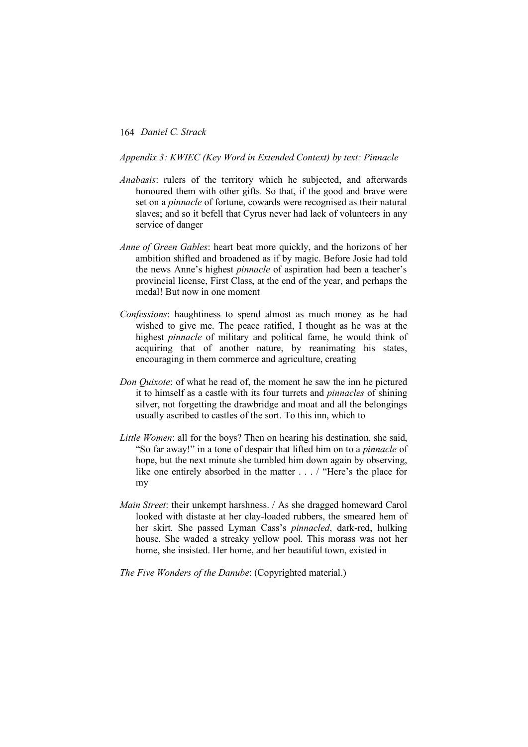#### *Appendix 3: KWIEC (Key Word in Extended Context) by text: Pinnacle*

- *Anabasis*: rulers of the territory which he subjected, and afterwards honoured them with other gifts. So that, if the good and brave were set on a *pinnacle* of fortune, cowards were recognised as their natural slaves; and so it befell that Cyrus never had lack of volunteers in any service of danger
- *Anne of Green Gables*: heart beat more quickly, and the horizons of her ambition shifted and broadened as if by magic. Before Josie had told the news Anne's highest *pinnacle* of aspiration had been a teacher's provincial license, First Class, at the end of the year, and perhaps the medal! But now in one moment
- *Confessions*: haughtiness to spend almost as much money as he had wished to give me. The peace ratified. I thought as he was at the highest *pinnacle* of military and political fame, he would think of acquiring that of another nature, by reanimating his states, encouraging in them commerce and agriculture, creating
- *Don Quixote*: of what he read of, the moment he saw the inn he pictured it to himself as a castle with its four turrets and *pinnacles* of shining silver, not forgetting the drawbridge and moat and all the belongings usually ascribed to castles of the sort. To this inn, which to
- *Little Women*: all for the boys? Then on hearing his destination, she said, "So far away!" in a tone of despair that lifted him on to a *pinnacle* of hope, but the next minute she tumbled him down again by observing, like one entirely absorbed in the matter . . . / "Here's the place for my
- *Main Street*: their unkempt harshness. / As she dragged homeward Carol looked with distaste at her clay-loaded rubbers, the smeared hem of her skirt. She passed Lyman Cass's *pinnacled*, dark-red, hulking house. She waded a streaky yellow pool. This morass was not her home, she insisted. Her home, and her beautiful town, existed in

*The Five Wonders of the Danube*: (Copyrighted material.)